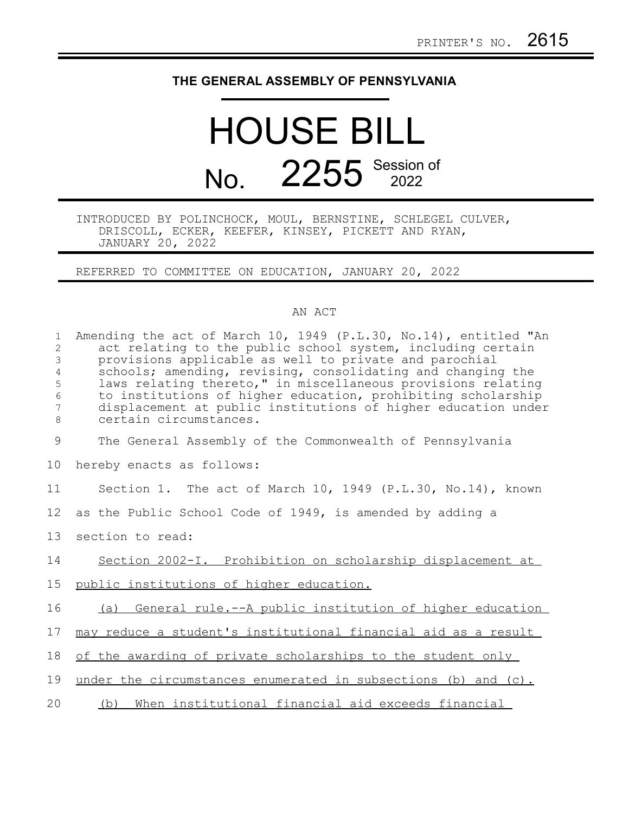## **THE GENERAL ASSEMBLY OF PENNSYLVANIA**

## HOUSE BILL No. 2255 Session of

INTRODUCED BY POLINCHOCK, MOUL, BERNSTINE, SCHLEGEL CULVER, DRISCOLL, ECKER, KEEFER, KINSEY, PICKETT AND RYAN, JANUARY 20, 2022

REFERRED TO COMMITTEE ON EDUCATION, JANUARY 20, 2022

## AN ACT

| $\mathbf{1}$<br>2<br>$\mathsf 3$<br>$\overline{4}$<br>5<br>$\epsilon$<br>7<br>$\,8\,$ | Amending the act of March 10, 1949 (P.L.30, No.14), entitled "An<br>act relating to the public school system, including certain<br>provisions applicable as well to private and parochial<br>schools; amending, revising, consolidating and changing the<br>laws relating thereto," in miscellaneous provisions relating<br>to institutions of higher education, prohibiting scholarship<br>displacement at public institutions of higher education under<br>certain circumstances. |
|---------------------------------------------------------------------------------------|-------------------------------------------------------------------------------------------------------------------------------------------------------------------------------------------------------------------------------------------------------------------------------------------------------------------------------------------------------------------------------------------------------------------------------------------------------------------------------------|
| 9                                                                                     | The General Assembly of the Commonwealth of Pennsylvania                                                                                                                                                                                                                                                                                                                                                                                                                            |
| 10                                                                                    | hereby enacts as follows:                                                                                                                                                                                                                                                                                                                                                                                                                                                           |
| 11                                                                                    | Section 1. The act of March 10, 1949 (P.L.30, No.14), known                                                                                                                                                                                                                                                                                                                                                                                                                         |
| 12                                                                                    | as the Public School Code of 1949, is amended by adding a                                                                                                                                                                                                                                                                                                                                                                                                                           |
| 13                                                                                    | section to read:                                                                                                                                                                                                                                                                                                                                                                                                                                                                    |
| 14                                                                                    | Section 2002-I. Prohibition on scholarship displacement at                                                                                                                                                                                                                                                                                                                                                                                                                          |
| 15                                                                                    | public institutions of higher education.                                                                                                                                                                                                                                                                                                                                                                                                                                            |
| 16                                                                                    | (a) General rule.--A public institution of higher education                                                                                                                                                                                                                                                                                                                                                                                                                         |
| 17                                                                                    | may reduce a student's institutional financial aid as a result                                                                                                                                                                                                                                                                                                                                                                                                                      |
| 18                                                                                    | of the awarding of private scholarships to the student only                                                                                                                                                                                                                                                                                                                                                                                                                         |
| 19                                                                                    | under the circumstances enumerated in subsections (b) and (c).                                                                                                                                                                                                                                                                                                                                                                                                                      |
| 20                                                                                    | (b) When institutional financial aid exceeds financial                                                                                                                                                                                                                                                                                                                                                                                                                              |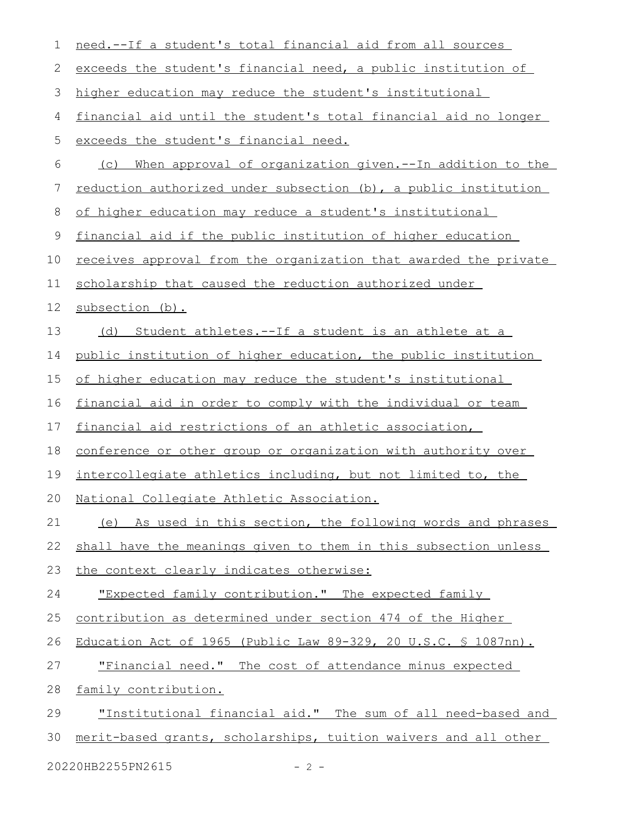| 1  | need.--If a student's total financial aid from all sources              |
|----|-------------------------------------------------------------------------|
| 2  | exceeds the student's financial need, a public institution of           |
| 3  | higher education may reduce the student's institutional                 |
| 4  | financial aid until the student's total financial aid no longer         |
| 5  | exceeds the student's financial need.                                   |
| 6  | When approval of organization given.--In addition to the<br>(C)         |
| 7  | reduction authorized under subsection (b), a public institution         |
| 8  | of higher education may reduce a student's institutional                |
| 9  | financial aid if the public institution of higher education             |
| 10 | <u>receives approval from the organization that awarded the private</u> |
| 11 | scholarship that caused the reduction authorized under                  |
| 12 | subsection (b).                                                         |
| 13 | (d) Student athletes.--If a student is an athlete at a                  |
| 14 | public institution of higher education, the public institution          |
| 15 | of higher education may reduce the student's institutional              |
| 16 | financial aid in order to comply with the individual or team            |
| 17 | financial aid restrictions of an athletic association,                  |
| 18 | conference or other group or organization with authority over           |
| 19 | intercollegiate athletics including, but not limited to, the            |
| 20 | National Collegiate Athletic Association.                               |
| 21 | (e) As used in this section, the following words and phrases            |
| 22 | shall have the meanings given to them in this subsection unless         |
| 23 | the context clearly indicates otherwise:                                |
| 24 | "Expected family contribution." The expected family                     |
| 25 | contribution as determined under section 474 of the Higher              |
| 26 | Education Act of 1965 (Public Law 89-329, 20 U.S.C. § 1087nn).          |
| 27 | "Financial need." The cost of attendance minus expected                 |
| 28 | family contribution.                                                    |
| 29 | "Institutional financial aid." The sum of all need-based and            |
| 30 | merit-based grants, scholarships, tuition waivers and all other         |
|    | 20220HB2255PN2615<br>$-2 -$                                             |